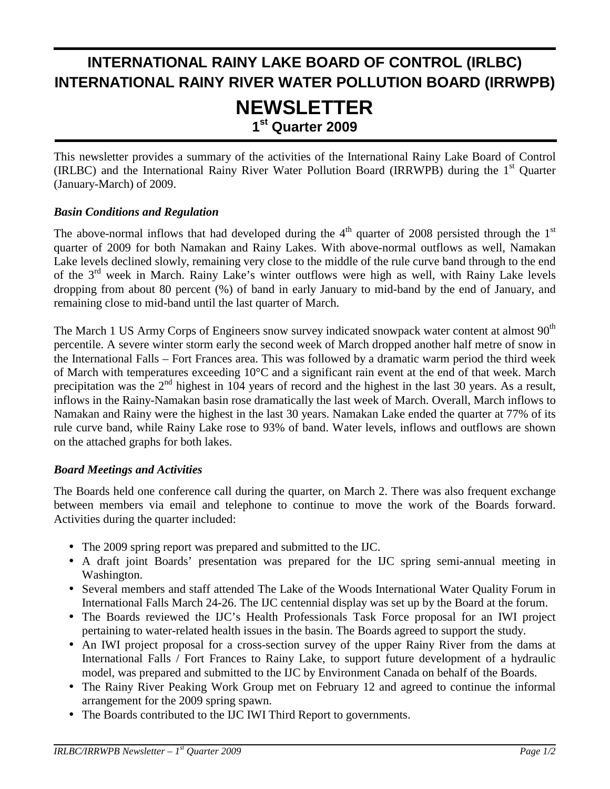# **INTERNATIONAL RAINY LAKE BOARD OF CONTROL (IRLBC) INTERNATIONAL RAINY RIVER WATER POLLUTION BOARD (IRRWPB) NEWSLETTER 1st Quarter 2009**

This newsletter provides a summary of the activities of the International Rainy Lake Board of Control (IRLBC) and the International Rainy River Water Pollution Board (IRRWPB) during the  $1<sup>st</sup>$  Ouarter (January-March) of 2009.

### *Basin Conditions and Regulation*

j

The above-normal inflows that had developed during the  $4<sup>th</sup>$  quarter of 2008 persisted through the  $1<sup>st</sup>$ quarter of 2009 for both Namakan and Rainy Lakes. With above-normal outflows as well, Namakan Lake levels declined slowly, remaining very close to the middle of the rule curve band through to the end of the 3<sup>rd</sup> week in March. Rainy Lake's winter outflows were high as well, with Rainy Lake levels dropping from about 80 percent (%) of band in early January to mid-band by the end of January, and remaining close to mid-band until the last quarter of March.

The March 1 US Army Corps of Engineers snow survey indicated snowpack water content at almost 90<sup>th</sup> percentile. A severe winter storm early the second week of March dropped another half metre of snow in the International Falls – Fort Frances area. This was followed by a dramatic warm period the third week of March with temperatures exceeding 10°C and a significant rain event at the end of that week. March precipitation was the  $2<sup>nd</sup>$  highest in 104 years of record and the highest in the last 30 years. As a result, inflows in the Rainy-Namakan basin rose dramatically the last week of March. Overall, March inflows to Namakan and Rainy were the highest in the last 30 years. Namakan Lake ended the quarter at 77% of its rule curve band, while Rainy Lake rose to 93% of band. Water levels, inflows and outflows are shown on the attached graphs for both lakes.

#### *Board Meetings and Activities*

The Boards held one conference call during the quarter, on March 2. There was also frequent exchange between members via email and telephone to continue to move the work of the Boards forward. Activities during the quarter included:

- The 2009 spring report was prepared and submitted to the IJC.
- A draft joint Boards' presentation was prepared for the IJC spring semi-annual meeting in Washington.
- Several members and staff attended The Lake of the Woods International Water Quality Forum in International Falls March 24-26. The IJC centennial display was set up by the Board at the forum.
- The Boards reviewed the IJC's Health Professionals Task Force proposal for an IWI project pertaining to water-related health issues in the basin. The Boards agreed to support the study.
- An IWI project proposal for a cross-section survey of the upper Rainy River from the dams at International Falls / Fort Frances to Rainy Lake, to support future development of a hydraulic model, was prepared and submitted to the IJC by Environment Canada on behalf of the Boards.
- The Rainy River Peaking Work Group met on February 12 and agreed to continue the informal arrangement for the 2009 spring spawn.
- The Boards contributed to the IJC IWI Third Report to governments.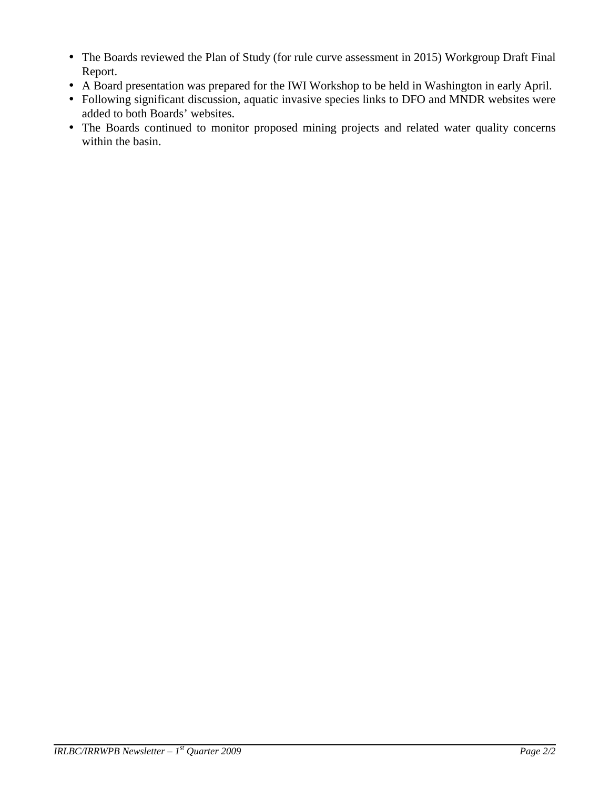- The Boards reviewed the Plan of Study (for rule curve assessment in 2015) Workgroup Draft Final Report.
- A Board presentation was prepared for the IWI Workshop to be held in Washington in early April.
- Following significant discussion, aquatic invasive species links to DFO and MNDR websites were added to both Boards' websites.
- The Boards continued to monitor proposed mining projects and related water quality concerns within the basin.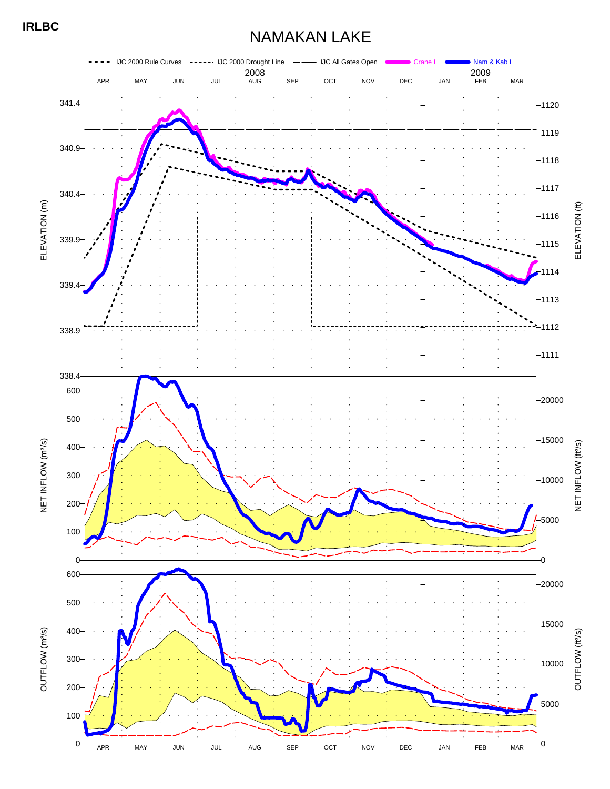## **IRLBC**

# NAMAKAN LAKE